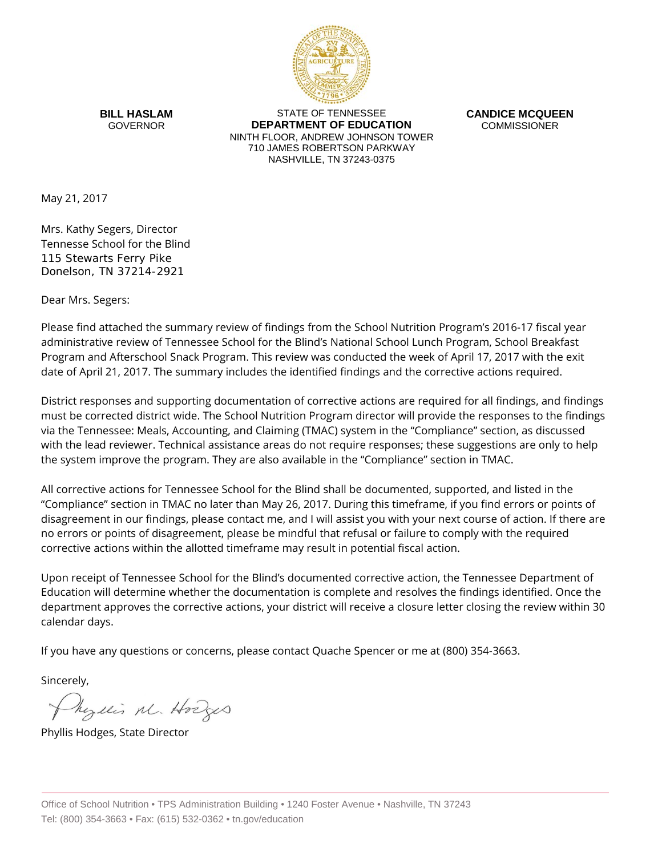

**BILL HASLAM** GOVERNOR

STATE OF TENNESSEE **DEPARTMENT OF EDUCATION** NINTH FLOOR, ANDREW JOHNSON TOWER 710 JAMES ROBERTSON PARKWAY NASHVILLE, TN 37243-0375

**CANDICE MCQUEEN COMMISSIONER** 

May 21, 2017

Mrs. Kathy Segers, Director Tennesse School for the Blind 115 Stewarts Ferry Pike Donelson, TN 37214-2921

Dear Mrs. Segers:

Please find attached the summary review of findings from the School Nutrition Program's 2016-17 fiscal year administrative review of Tennessee School for the Blind's National School Lunch Program, School Breakfast Program and Afterschool Snack Program. This review was conducted the week of April 17, 2017 with the exit date of April 21, 2017. The summary includes the identified findings and the corrective actions required.

District responses and supporting documentation of corrective actions are required for all findings, and findings must be corrected district wide. The School Nutrition Program director will provide the responses to the findings via the Tennessee: Meals, Accounting, and Claiming (TMAC) system in the "Compliance" section, as discussed with the lead reviewer. Technical assistance areas do not require responses; these suggestions are only to help the system improve the program. They are also available in the "Compliance" section in TMAC.

All corrective actions for Tennessee School for the Blind shall be documented, supported, and listed in the "Compliance" section in TMAC no later than May 26, 2017. During this timeframe, if you find errors or points of disagreement in our findings, please contact me, and I will assist you with your next course of action. If there are no errors or points of disagreement, please be mindful that refusal or failure to comply with the required corrective actions within the allotted timeframe may result in potential fiscal action.

Upon receipt of Tennessee School for the Blind's documented corrective action, the Tennessee Department of Education will determine whether the documentation is complete and resolves the findings identified. Once the department approves the corrective actions, your district will receive a closure letter closing the review within 30 calendar days.

If you have any questions or concerns, please contact Quache Spencer or me at (800) 354-3663.

Sincerely,

Myllis M. Hodges

Phyllis Hodges, State Director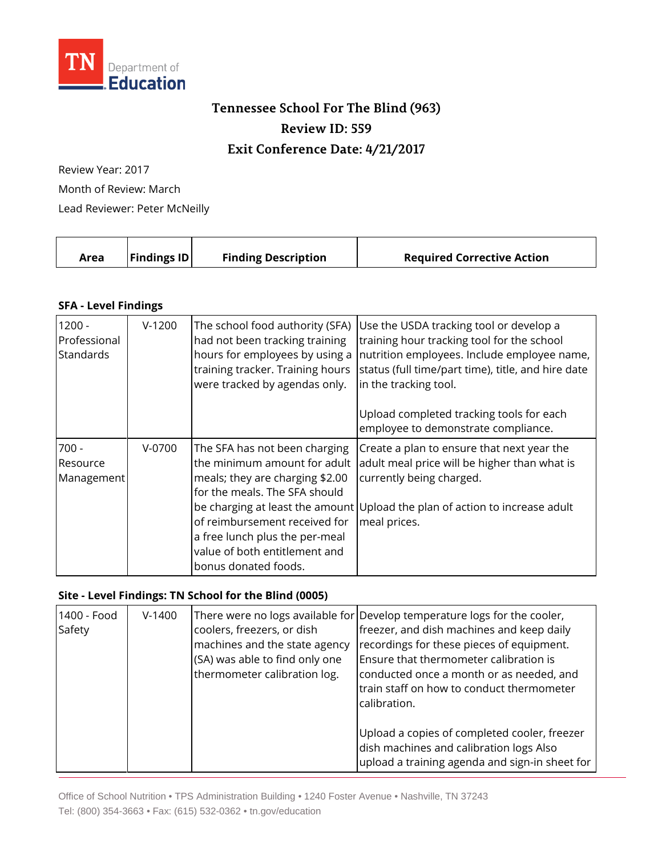

## **Tennessee School For The Blind (963) Review ID: 559 Exit Conference Date: 4/21/2017**

Review Year: 2017 Month of Review: March Lead Reviewer: Peter McNeilly

|  | Area | <b>Findings ID</b> | <b>Finding Description</b> | <b>Required Corrective Action</b> |
|--|------|--------------------|----------------------------|-----------------------------------|
|--|------|--------------------|----------------------------|-----------------------------------|

## **SFA - Level Findings**

| $1200 -$<br>Professional<br><b>Standards</b> | $V-1200$ | The school food authority (SFA)<br>had not been tracking training<br>hours for employees by using a<br>training tracker. Training hours<br>were tracked by agendas only.                                                                                      | Use the USDA tracking tool or develop a<br>training hour tracking tool for the school<br>nutrition employees. Include employee name,<br>status (full time/part time), title, and hire date<br>in the tracking tool.   |
|----------------------------------------------|----------|---------------------------------------------------------------------------------------------------------------------------------------------------------------------------------------------------------------------------------------------------------------|-----------------------------------------------------------------------------------------------------------------------------------------------------------------------------------------------------------------------|
|                                              |          |                                                                                                                                                                                                                                                               | Upload completed tracking tools for each<br>employee to demonstrate compliance.                                                                                                                                       |
| $700 -$<br>Resource<br>Management            | $V-0700$ | The SFA has not been charging<br>the minimum amount for adult<br>meals; they are charging \$2.00<br>for the meals. The SFA should<br>of reimbursement received for<br>a free lunch plus the per-meal<br>value of both entitlement and<br>bonus donated foods. | Create a plan to ensure that next year the<br>adult meal price will be higher than what is<br>currently being charged.<br>be charging at least the amount Upload the plan of action to increase adult<br>meal prices. |

## **Site - Level Findings: TN School for the Blind (0005)**

| 1400 - Food<br>Safety | $V-1400$ | coolers, freezers, or dish<br>machines and the state agency<br>(SA) was able to find only one<br>thermometer calibration log. | There were no logs available for Develop temperature logs for the cooler,<br>freezer, and dish machines and keep daily<br>recordings for these pieces of equipment.<br>Ensure that thermometer calibration is<br>conducted once a month or as needed, and<br>train staff on how to conduct thermometer<br>calibration. |
|-----------------------|----------|-------------------------------------------------------------------------------------------------------------------------------|------------------------------------------------------------------------------------------------------------------------------------------------------------------------------------------------------------------------------------------------------------------------------------------------------------------------|
|                       |          |                                                                                                                               | Upload a copies of completed cooler, freezer<br>dish machines and calibration logs Also<br>upload a training agenda and sign-in sheet for                                                                                                                                                                              |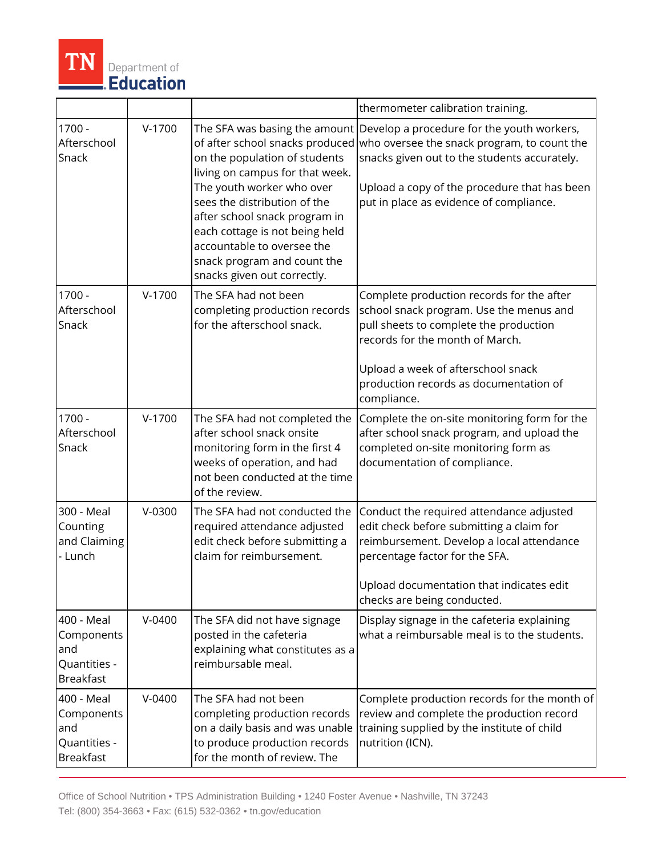

|                                                                     |            |                                                                                                                                                                                                                                                                                                                                                                  | thermometer calibration training.                                                                                                                                                                                                                                |
|---------------------------------------------------------------------|------------|------------------------------------------------------------------------------------------------------------------------------------------------------------------------------------------------------------------------------------------------------------------------------------------------------------------------------------------------------------------|------------------------------------------------------------------------------------------------------------------------------------------------------------------------------------------------------------------------------------------------------------------|
| 1700 -<br>Afterschool<br>Snack                                      | $V-1700$   | The SFA was basing the amount<br>of after school snacks produced<br>on the population of students<br>living on campus for that week.<br>The youth worker who over<br>sees the distribution of the<br>after school snack program in<br>each cottage is not being held<br>accountable to oversee the<br>snack program and count the<br>snacks given out correctly. | Develop a procedure for the youth workers,<br>who oversee the snack program, to count the<br>snacks given out to the students accurately.<br>Upload a copy of the procedure that has been<br>put in place as evidence of compliance.                             |
| $1700 -$<br>Afterschool<br>Snack                                    | $V-1700$   | The SFA had not been<br>completing production records<br>for the afterschool snack.                                                                                                                                                                                                                                                                              | Complete production records for the after<br>school snack program. Use the menus and<br>pull sheets to complete the production<br>records for the month of March.<br>Upload a week of afterschool snack<br>production records as documentation of<br>compliance. |
| $1700 -$<br>Afterschool<br>Snack                                    | $V-1700$   | The SFA had not completed the<br>after school snack onsite<br>monitoring form in the first 4<br>weeks of operation, and had<br>not been conducted at the time<br>of the review.                                                                                                                                                                                  | Complete the on-site monitoring form for the<br>after school snack program, and upload the<br>completed on-site monitoring form as<br>documentation of compliance.                                                                                               |
| 300 - Meal<br>Counting<br>and Claiming<br>- Lunch                   | $V-0300$   | The SFA had not conducted the<br>required attendance adjusted<br>edit check before submitting a<br>claim for reimbursement.                                                                                                                                                                                                                                      | Conduct the required attendance adjusted<br>edit check before submitting a claim for<br>reimbursement. Develop a local attendance<br>percentage factor for the SFA.<br>Upload documentation that indicates edit<br>checks are being conducted.                   |
| 400 - Meal<br>Components<br>and<br>Quantities -<br><b>Breakfast</b> | $V-0400$   | The SFA did not have signage<br>posted in the cafeteria<br>explaining what constitutes as a<br>reimbursable meal.                                                                                                                                                                                                                                                | Display signage in the cafeteria explaining<br>what a reimbursable meal is to the students.                                                                                                                                                                      |
| 400 - Meal<br>Components<br>and<br>Quantities -<br><b>Breakfast</b> | $V - 0400$ | The SFA had not been<br>completing production records<br>on a daily basis and was unable<br>to produce production records<br>for the month of review. The                                                                                                                                                                                                        | Complete production records for the month of<br>review and complete the production record<br>training supplied by the institute of child<br>nutrition (ICN).                                                                                                     |